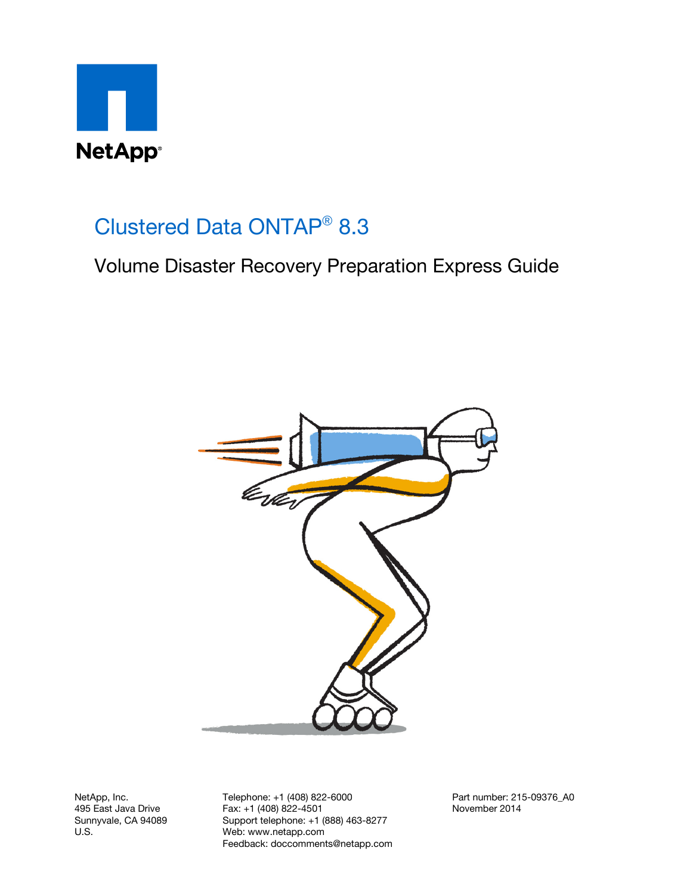

## Clustered Data ONTAP® 8.3

Volume Disaster Recovery Preparation Express Guide



NetApp, Inc. 495 East Java Drive Sunnyvale, CA 94089 U.S.

Telephone: +1 (408) 822-6000 Fax: +1 (408) 822-4501 Support telephone: +1 (888) 463-8277 Web: www.netapp.com Feedback: doccomments@netapp.com Part number: 215-09376\_A0 November 2014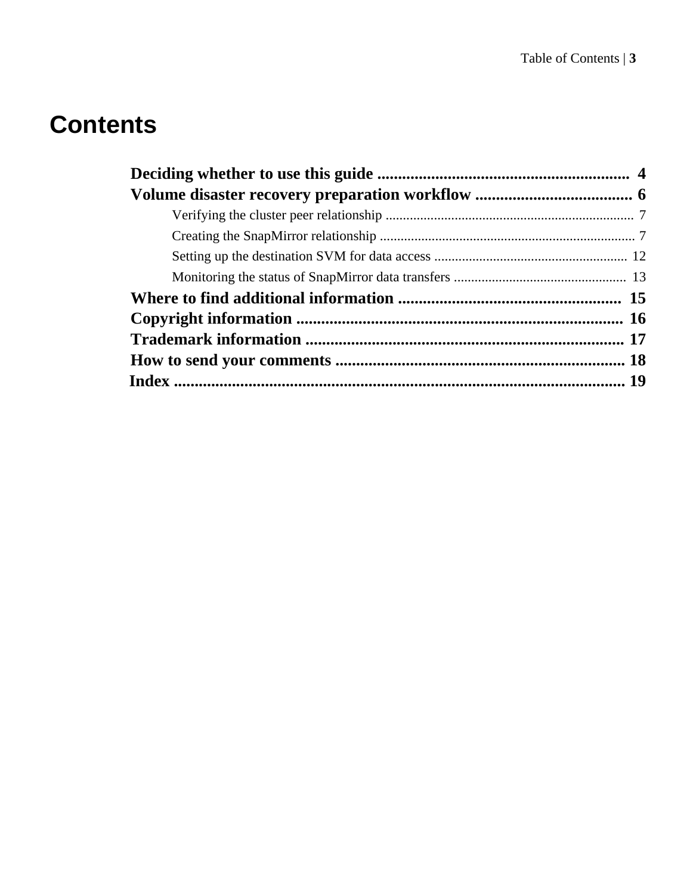# **Contents**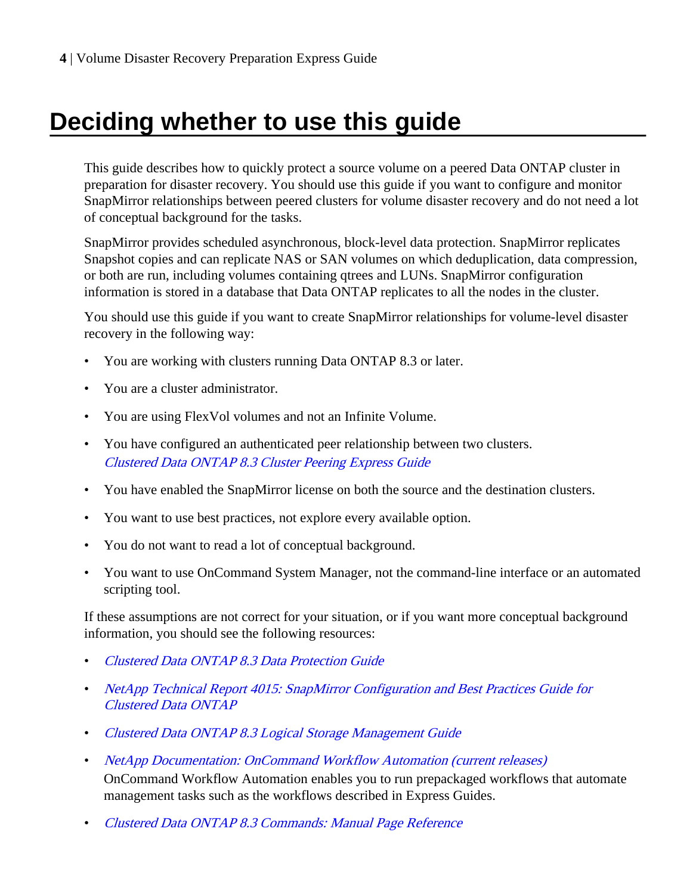# <span id="page-3-0"></span>**Deciding whether to use this guide**

This guide describes how to quickly protect a source volume on a peered Data ONTAP cluster in preparation for disaster recovery. You should use this guide if you want to configure and monitor SnapMirror relationships between peered clusters for volume disaster recovery and do not need a lot of conceptual background for the tasks.

SnapMirror provides scheduled asynchronous, block-level data protection. SnapMirror replicates Snapshot copies and can replicate NAS or SAN volumes on which deduplication, data compression, or both are run, including volumes containing qtrees and LUNs. SnapMirror configuration information is stored in a database that Data ONTAP replicates to all the nodes in the cluster.

You should use this guide if you want to create SnapMirror relationships for volume-level disaster recovery in the following way:

- You are working with clusters running Data ONTAP 8.3 or later.
- You are a cluster administrator.
- You are using FlexVol volumes and not an Infinite Volume.
- You have configured an authenticated peer relationship between two clusters. [Clustered Data ONTAP 8.3 Cluster Peering Express Guide](https://library.netapp.com/ecm/ecm_download_file/ECMP1547469)
- You have enabled the SnapMirror license on both the source and the destination clusters.
- You want to use best practices, not explore every available option.
- You do not want to read a lot of conceptual background.
- You want to use OnCommand System Manager, not the command-line interface or an automated scripting tool.

If these assumptions are not correct for your situation, or if you want more conceptual background information, you should see the following resources:

- [Clustered Data ONTAP 8.3 Data Protection Guide](https://library.netapp.com/ecm/ecm_download_file/ECMP1610205)
- [NetApp Technical Report 4015: SnapMirror Configuration and Best Practices Guide for](http://www.netapp.com/us/media/tr-4015.pdf) [Clustered Data ONTAP](http://www.netapp.com/us/media/tr-4015.pdf)
- [Clustered Data ONTAP 8.3 Logical Storage Management Guide](https://library.netapp.com/ecm/ecm_download_file/ECMP1610211)
- [NetApp Documentation: OnCommand Workflow Automation \(current releases\)](http://mysupport.netapp.com/documentation/productlibrary/index.html?productID=61550) OnCommand Workflow Automation enables you to run prepackaged workflows that automate management tasks such as the workflows described in Express Guides.
- [Clustered Data ONTAP 8.3 Commands: Manual Page Reference](https://library.netapp.com/ecm/ecm_download_file/ECMP1610202)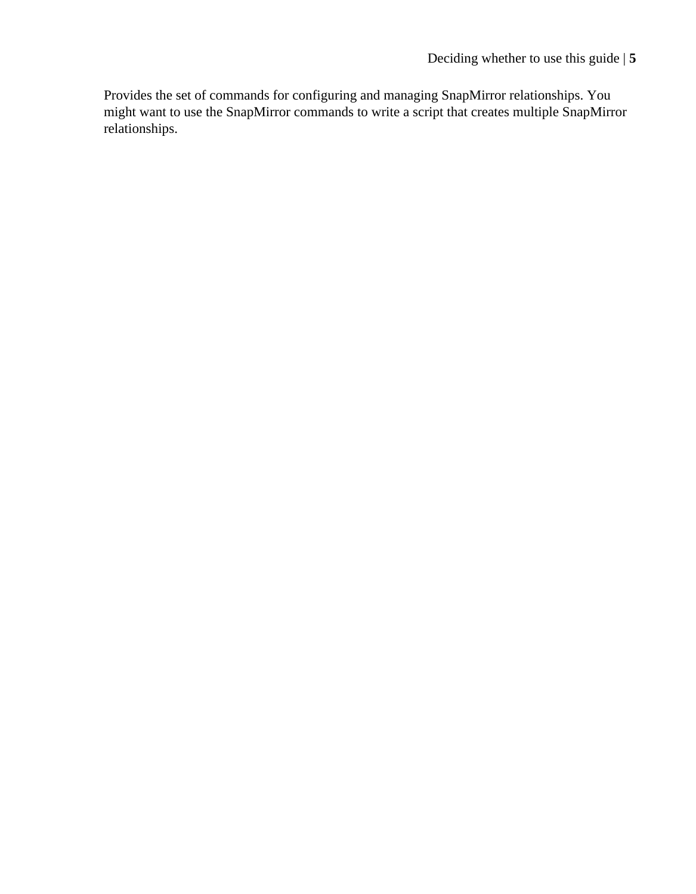Provides the set of commands for configuring and managing SnapMirror relationships. You might want to use the SnapMirror commands to write a script that creates multiple SnapMirror relationships.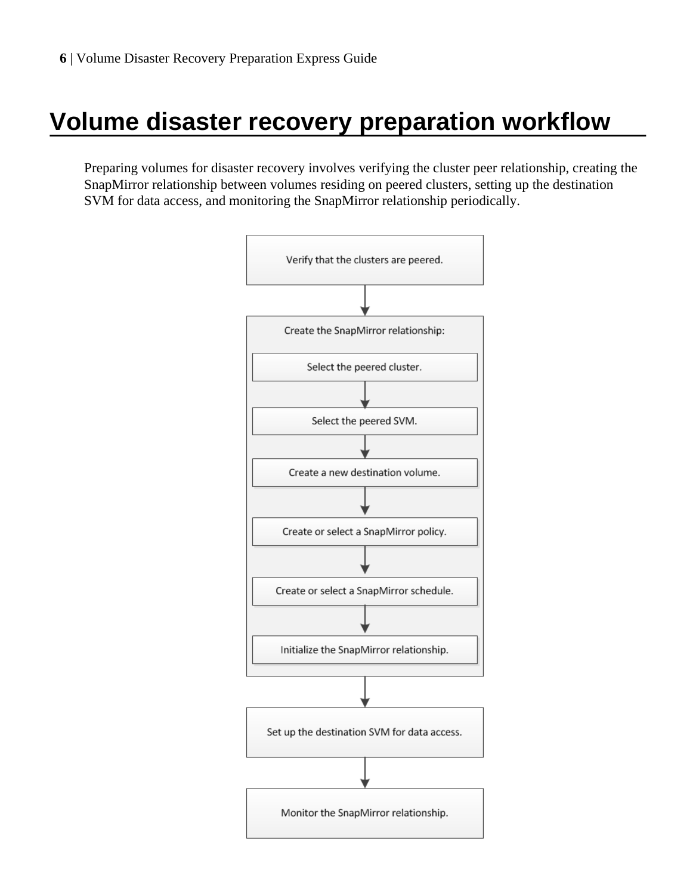# <span id="page-5-0"></span>**Volume disaster recovery preparation workflow**

Preparing volumes for disaster recovery involves verifying the cluster peer relationship, creating the SnapMirror relationship between volumes residing on peered clusters, setting up the destination SVM for data access, and monitoring the SnapMirror relationship periodically.

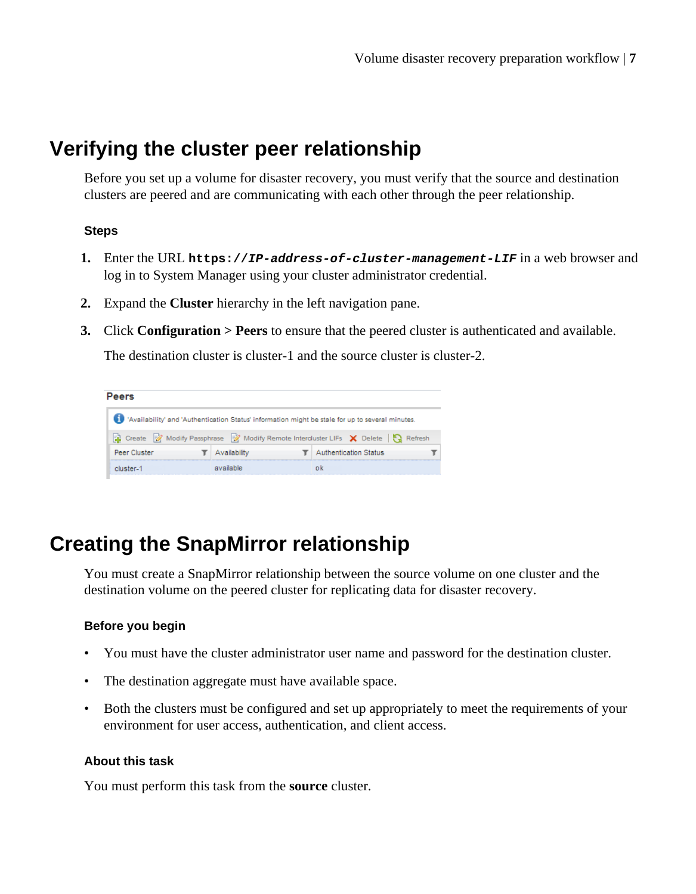## <span id="page-6-0"></span>**Verifying the cluster peer relationship**

Before you set up a volume for disaster recovery, you must verify that the source and destination clusters are peered and are communicating with each other through the peer relationship.

#### **Steps**

- **1.** Enter the URL **https://IP-address-of-cluster-management-LIF** in a web browser and log in to System Manager using your cluster administrator credential.
- **2.** Expand the **Cluster** hierarchy in the left navigation pane.
- **3.** Click **Configuration > Peers** to ensure that the peered cluster is authenticated and available.

The destination cluster is cluster-1 and the source cluster is cluster-2.

| eers         |              |                                                                                                  |
|--------------|--------------|--------------------------------------------------------------------------------------------------|
|              |              | 'Availability' and 'Authentication Status' information might be stale for up to several minutes. |
| Ø<br>Create  |              | Modify Passphrase <b>Modify Remote Intercluster LIFs</b> X Delete <b>3</b>                       |
| Peer Cluster | Availability | <b>Authentication Status</b>                                                                     |
|              |              |                                                                                                  |

## **Creating the SnapMirror relationship**

You must create a SnapMirror relationship between the source volume on one cluster and the destination volume on the peered cluster for replicating data for disaster recovery.

#### **Before you begin**

- You must have the cluster administrator user name and password for the destination cluster.
- The destination aggregate must have available space.
- Both the clusters must be configured and set up appropriately to meet the requirements of your environment for user access, authentication, and client access.

#### **About this task**

You must perform this task from the **source** cluster.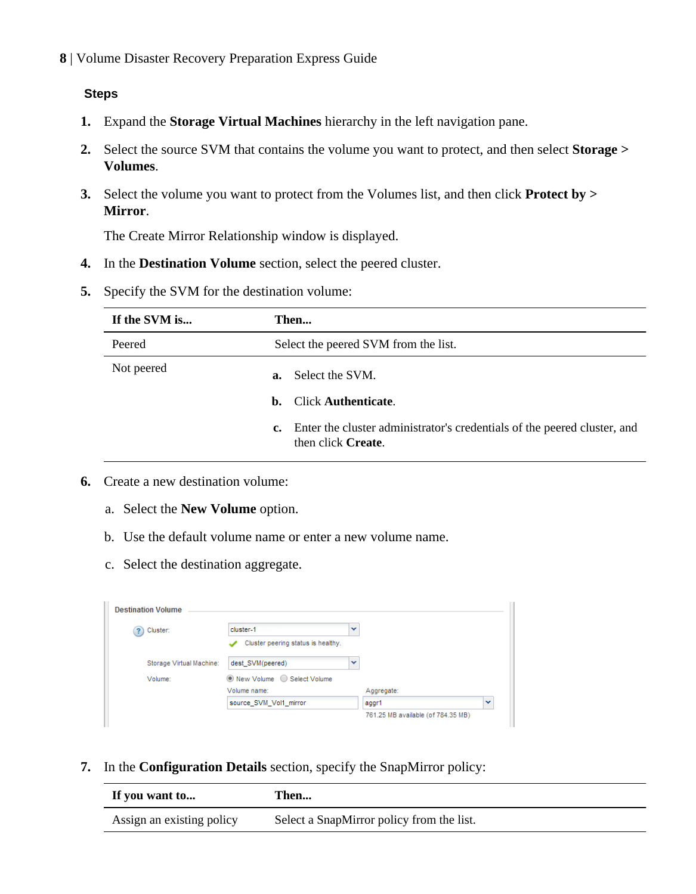#### **Steps**

- **1.** Expand the **Storage Virtual Machines** hierarchy in the left navigation pane.
- **2.** Select the source SVM that contains the volume you want to protect, and then select **Storage > Volumes**.
- **3.** Select the volume you want to protect from the Volumes list, and then click **Protect by > Mirror**.

The Create Mirror Relationship window is displayed.

- **4.** In the **Destination Volume** section, select the peered cluster.
- **5.** Specify the SVM for the destination volume:

| If the SVM is | Then                                                                                                                                                        |  |  |  |
|---------------|-------------------------------------------------------------------------------------------------------------------------------------------------------------|--|--|--|
| Peered        | Select the peered SVM from the list.                                                                                                                        |  |  |  |
| Not peered    | Select the SVM.<br>а.<br><b>b.</b> Click Authenticate.<br>c. Enter the cluster administrator's credentials of the peered cluster, and<br>then click Create. |  |  |  |

- **6.** Create a new destination volume:
	- a. Select the **New Volume** option.
	- b. Use the default volume name or enter a new volume name.
	- c. Select the destination aggregate.

| <b>Destination Volume</b>     |                                    |   |                                    |              |
|-------------------------------|------------------------------------|---|------------------------------------|--------------|
| Cluster:<br>$\left( 2\right)$ | cluster-1                          | v |                                    |              |
|                               | Cluster peering status is healthy. |   |                                    |              |
| Storage Virtual Machine:      | dest_SVM(peered)                   | v |                                    |              |
| Volume:                       | ● New Volume ● Select Volume       |   |                                    |              |
|                               | Volume name:                       |   | Aggregate:                         |              |
|                               | source_SVM_Vol1_mirror             |   | aggr1                              | $\checkmark$ |
|                               |                                    |   | 761.25 MB available (of 784.35 MB) |              |

**7.** In the **Configuration Details** section, specify the SnapMirror policy:

| If you want to            | Then                                      |
|---------------------------|-------------------------------------------|
| Assign an existing policy | Select a SnapMirror policy from the list. |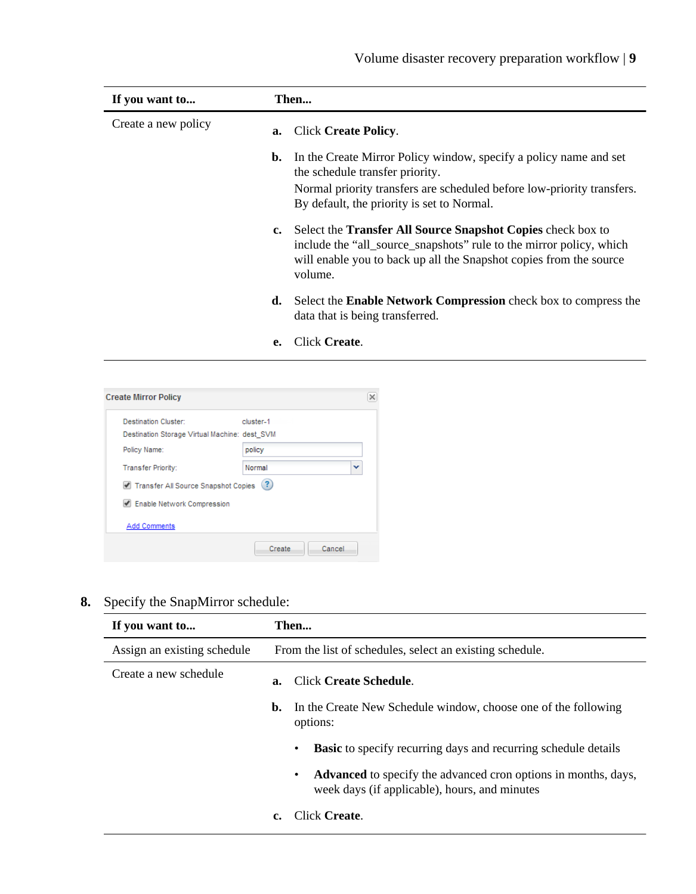| If you want to      |    | Then                                                                                                                                                                                                                          |
|---------------------|----|-------------------------------------------------------------------------------------------------------------------------------------------------------------------------------------------------------------------------------|
| Create a new policy | a. | Click Create Policy.                                                                                                                                                                                                          |
|                     |    | <b>b.</b> In the Create Mirror Policy window, specify a policy name and set<br>the schedule transfer priority.                                                                                                                |
|                     |    | Normal priority transfers are scheduled before low-priority transfers.<br>By default, the priority is set to Normal.                                                                                                          |
|                     |    | c. Select the <b>Transfer All Source Snapshot Copies</b> check box to<br>include the "all_source_snapshots" rule to the mirror policy, which<br>will enable you to back up all the Snapshot copies from the source<br>volume. |
|                     |    | <b>d.</b> Select the <b>Enable Network Compression</b> check box to compress the<br>data that is being transferred.                                                                                                           |
|                     | е. | Click Create.                                                                                                                                                                                                                 |

- **Create Mirror Policy**  $\overline{\mathsf{x}}$ **Destination Cluster:** cluster-1 Destination Storage Virtual Machine: dest\_SVM Policy Name: policy × Transfer Priority: Normal Transfer All Source Snapshot Copies ? Enable Network Compression **Add Comments** Create Cancel
- **8.** Specify the SnapMirror schedule:

| If you want to              |                                                          | Then                                                                                                                        |  |  |  |
|-----------------------------|----------------------------------------------------------|-----------------------------------------------------------------------------------------------------------------------------|--|--|--|
| Assign an existing schedule | From the list of schedules, select an existing schedule. |                                                                                                                             |  |  |  |
| Create a new schedule       | $a_{\cdot}$                                              | Click Create Schedule.                                                                                                      |  |  |  |
|                             | b.                                                       | In the Create New Schedule window, choose one of the following<br>options:                                                  |  |  |  |
|                             |                                                          | <b>Basic</b> to specify recurring days and recurring schedule details<br>٠                                                  |  |  |  |
|                             |                                                          | <b>Advanced</b> to specify the advanced cron options in months, days,<br>٠<br>week days (if applicable), hours, and minutes |  |  |  |
|                             |                                                          | Click Create                                                                                                                |  |  |  |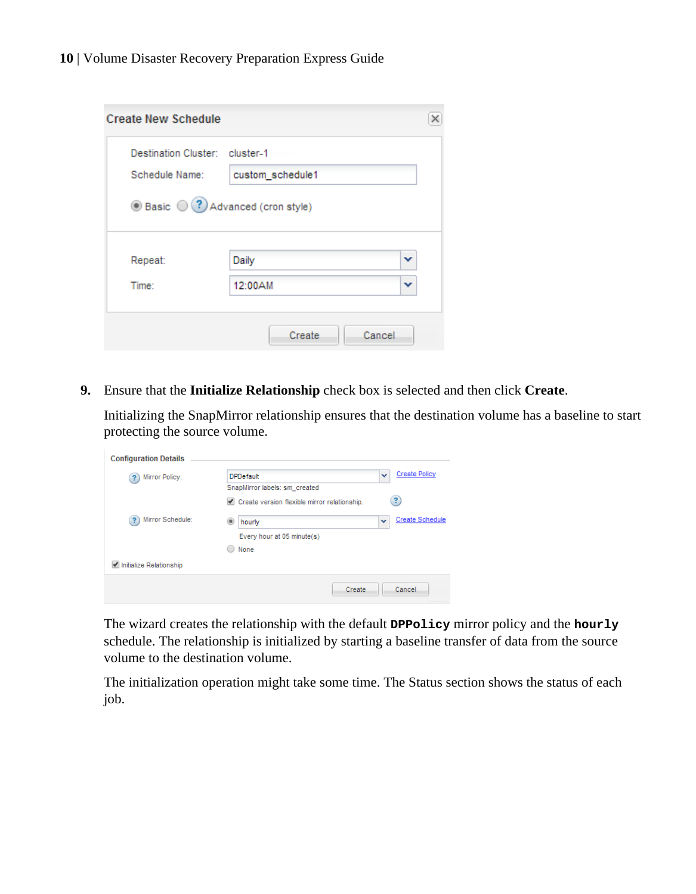| Schedule Name:<br>custom schedule1 |   |
|------------------------------------|---|
|                                    |   |
| ◉ Basic (?) Advanced (cron style)  |   |
|                                    |   |
|                                    |   |
| Daily<br>Repeat:                   | v |
|                                    | v |

**9.** Ensure that the **Initialize Relationship** check box is selected and then click **Create**.

Initializing the SnapMirror relationship ensures that the destination volume has a baseline to start protecting the source volume.

| <b>Configuration Details</b> |                                                                               |                          |                        |
|------------------------------|-------------------------------------------------------------------------------|--------------------------|------------------------|
| Mirror Policy:<br>?          | <b>DPDefault</b>                                                              | $\checkmark$             | <b>Create Policy</b>   |
|                              | SnapMirror labels: sm created<br>Create version flexible mirror relationship. |                          | 3                      |
| Mirror Schedule:<br>?        | ۰<br>hourly                                                                   | $\overline{\phantom{a}}$ | <b>Create Schedule</b> |
|                              | Every hour at 05 minute(s)<br>None                                            |                          |                        |
| Initialize Relationship      |                                                                               |                          |                        |
|                              | Create                                                                        |                          | Cancel                 |

The wizard creates the relationship with the default **DPPolicy** mirror policy and the **hourly** schedule. The relationship is initialized by starting a baseline transfer of data from the source volume to the destination volume.

The initialization operation might take some time. The Status section shows the status of each job.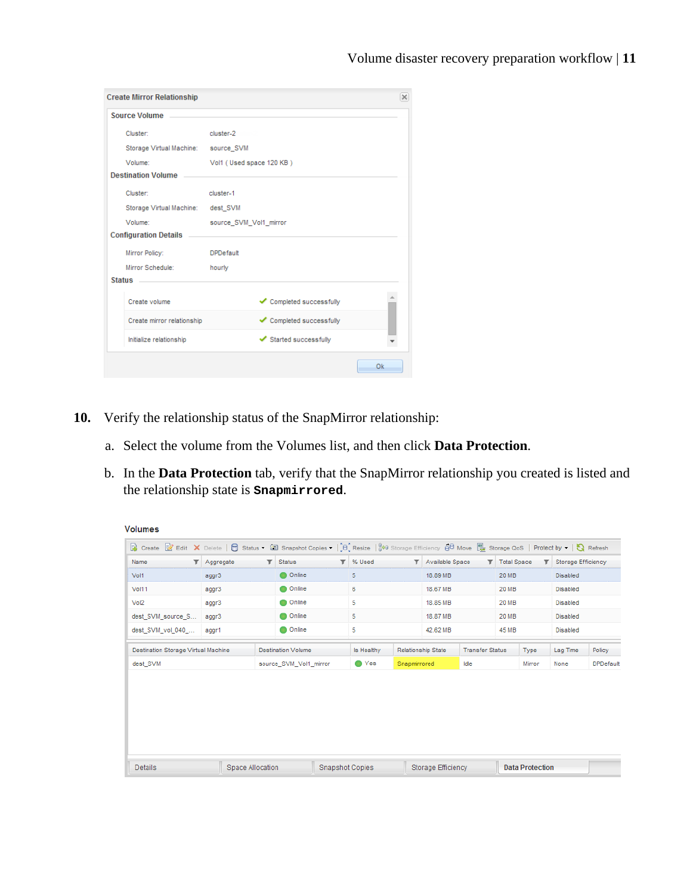| <b>Create Mirror Relationship</b>   |                          | ×   |
|-------------------------------------|--------------------------|-----|
| Source Volume                       |                          |     |
| Cluster:                            | cluster-2                |     |
| Storage Virtual Machine: source_SVM |                          |     |
| Volume:                             | Vol1 (Used space 120 KB) |     |
| <b>Destination Volume</b>           |                          |     |
| Cluster:                            | cluster <sub>-1</sub>    |     |
| Storage Virtual Machine: dest SVM   |                          |     |
| Volume:                             | source SVM Vol1 mirror   |     |
| <b>Configuration Details</b>        |                          |     |
| Mirror Policy:                      | <b>DPDefault</b>         |     |
| Mirror Schedule:                    | hourly                   |     |
| Status ______                       |                          |     |
| Create volume                       | Completed successfully   |     |
| Create mirror relationship          | Completed successfully   |     |
| Initialize relationship             | Started successfully     |     |
|                                     |                          | Ok. |

- **10.** Verify the relationship status of the SnapMirror relationship:
	- a. Select the volume from the Volumes list, and then click **Data Protection**.
	- b. In the **Data Protection** tab, verify that the SnapMirror relationship you created is listed and the relationship state is **Snapmirrored**.

| Name                                       | $\blacktriangleright$ Aggregate |  | $\mathbb{F}$ Status       | <b>T</b> % Used   |              | <b>T</b> Available Space  |                        | <b>T</b> Total Space |        | <b>T</b> Storage Efficiency |                  |
|--------------------------------------------|---------------------------------|--|---------------------------|-------------------|--------------|---------------------------|------------------------|----------------------|--------|-----------------------------|------------------|
| Vol1                                       | aggr3                           |  | <b>O</b> Online           | 5                 |              | 18.89 MB                  |                        | 20 MB                |        | <b>Disabled</b>             |                  |
| Vol11                                      | aggr3                           |  | Online                    | 6                 |              | 18.67 MB                  |                        | <b>20 MB</b>         |        | <b>Disabled</b>             |                  |
| Vol2                                       | aggr3                           |  | Online                    | 5                 |              | 18.85 MB                  |                        | <b>20 MB</b>         |        | <b>Disabled</b>             |                  |
| dest_SVM_source_S                          | aggr3                           |  | Online                    | 5                 |              | 18.87 MB                  |                        | <b>20 MB</b>         |        | <b>Disabled</b>             |                  |
| dest SVM vol 040                           | aggr1                           |  | Online                    | 5                 |              | 42.62 MB                  | <b>45 MB</b>           |                      |        | <b>Disabled</b>             |                  |
| <b>Destination Storage Virtual Machine</b> |                                 |  | <b>Destination Volume</b> | <b>Is Healthy</b> |              | <b>Relationship State</b> | <b>Transfer Status</b> |                      | Type   | Lag Time                    | Policy           |
| dest SVM                                   |                                 |  | source SVM Vol1 mirror    | ● Yes             | Snapmirrored |                           | Idle                   |                      | Mirror | None                        | <b>DPDefault</b> |
|                                            |                                 |  |                           |                   |              |                           |                        |                      |        |                             |                  |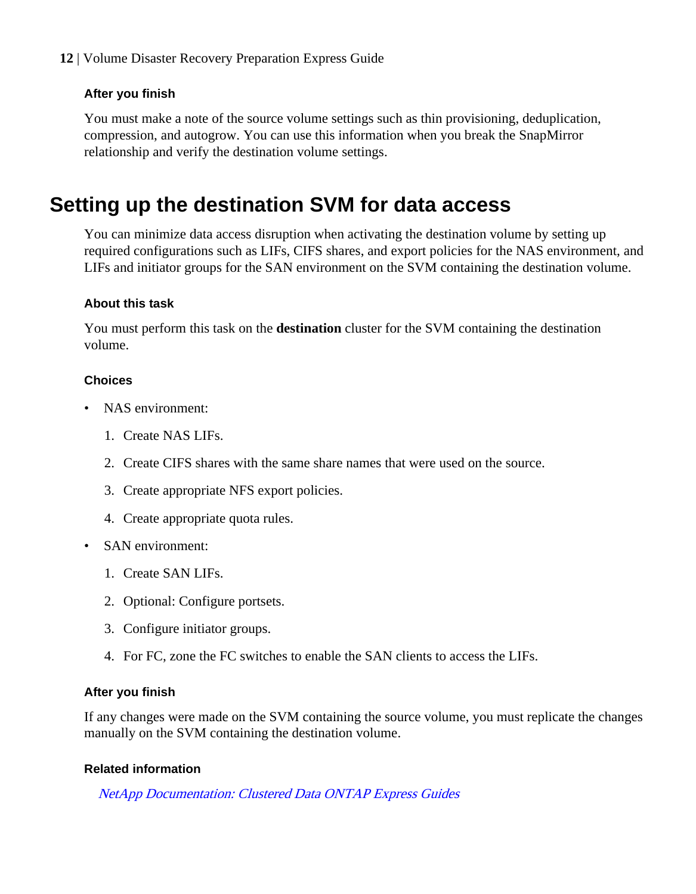#### <span id="page-11-0"></span>**After you finish**

You must make a note of the source volume settings such as thin provisioning, deduplication, compression, and autogrow. You can use this information when you break the SnapMirror relationship and verify the destination volume settings.

## **Setting up the destination SVM for data access**

You can minimize data access disruption when activating the destination volume by setting up required configurations such as LIFs, CIFS shares, and export policies for the NAS environment, and LIFs and initiator groups for the SAN environment on the SVM containing the destination volume.

#### **About this task**

You must perform this task on the **destination** cluster for the SVM containing the destination volume.

#### **Choices**

- NAS environment:
	- 1. Create NAS LIFs.
	- 2. Create CIFS shares with the same share names that were used on the source.
	- 3. Create appropriate NFS export policies.
	- 4. Create appropriate quota rules.
- SAN environment:
	- 1. Create SAN LIFs.
	- 2. Optional: Configure portsets.
	- 3. Configure initiator groups.
	- 4. For FC, zone the FC switches to enable the SAN clients to access the LIFs.

#### **After you finish**

If any changes were made on the SVM containing the source volume, you must replicate the changes manually on the SVM containing the destination volume.

#### **Related information**

[NetApp Documentation: Clustered Data ONTAP Express Guides](http://mysupport.netapp.com/documentation/docweb/index.html?productID=61885)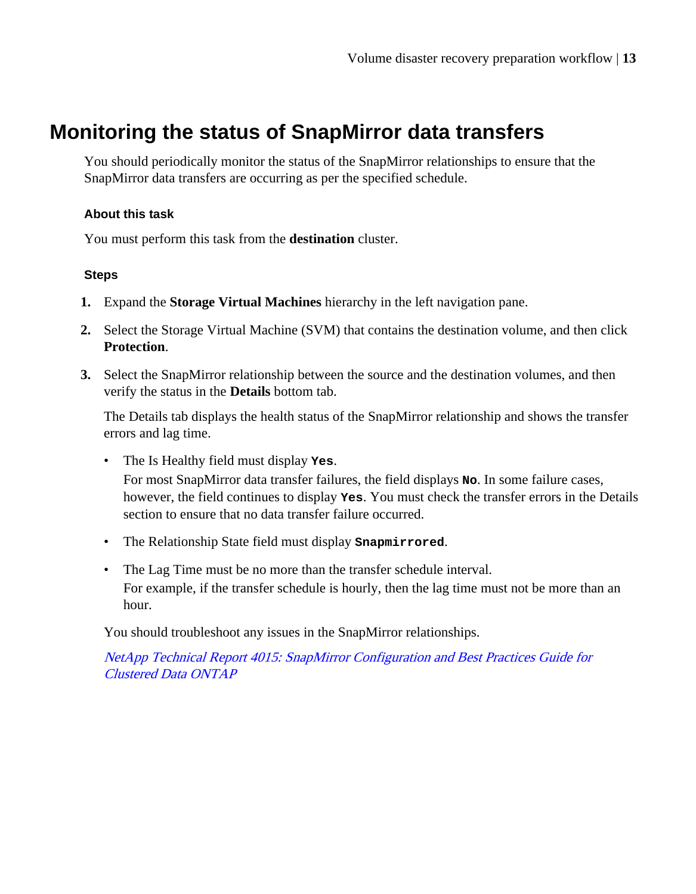## <span id="page-12-0"></span>**Monitoring the status of SnapMirror data transfers**

You should periodically monitor the status of the SnapMirror relationships to ensure that the SnapMirror data transfers are occurring as per the specified schedule.

#### **About this task**

You must perform this task from the **destination** cluster.

#### **Steps**

- **1.** Expand the **Storage Virtual Machines** hierarchy in the left navigation pane.
- **2.** Select the Storage Virtual Machine (SVM) that contains the destination volume, and then click **Protection**.
- **3.** Select the SnapMirror relationship between the source and the destination volumes, and then verify the status in the **Details** bottom tab.

The Details tab displays the health status of the SnapMirror relationship and shows the transfer errors and lag time.

- The Is Healthy field must display **Yes**. For most SnapMirror data transfer failures, the field displays **No**. In some failure cases, however, the field continues to display **Yes**. You must check the transfer errors in the Details section to ensure that no data transfer failure occurred.
- The Relationship State field must display **Snapmirrored**.
- The Lag Time must be no more than the transfer schedule interval. For example, if the transfer schedule is hourly, then the lag time must not be more than an hour.

You should troubleshoot any issues in the SnapMirror relationships.

[NetApp Technical Report 4015: SnapMirror Configuration and Best Practices Guide for](http://www.netapp.com/us/media/tr-4015.pdf) [Clustered Data ONTAP](http://www.netapp.com/us/media/tr-4015.pdf)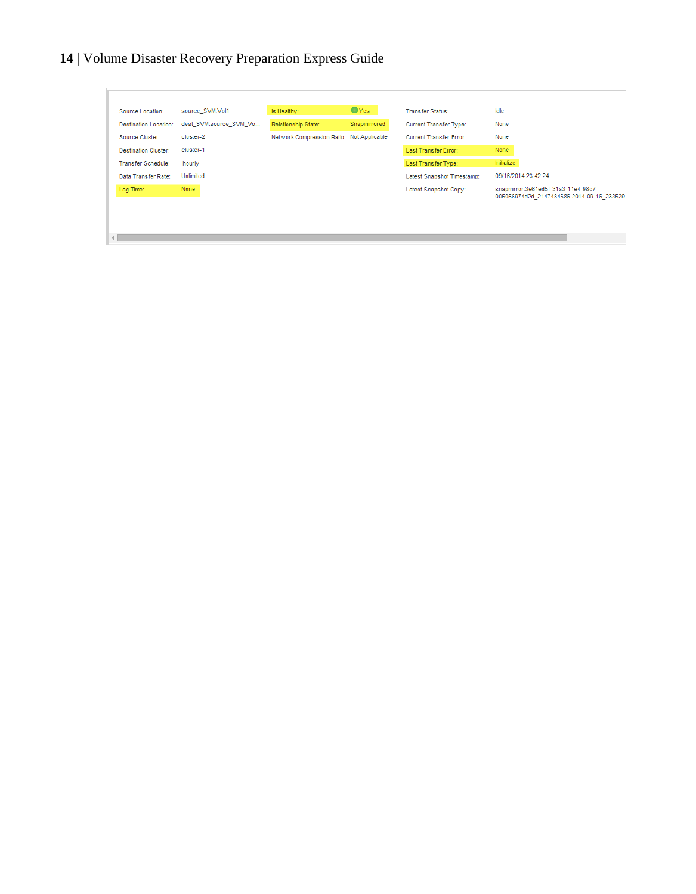| <b>Destination Location:</b> |                        |                                           |              |                                |                                                                                  |
|------------------------------|------------------------|-------------------------------------------|--------------|--------------------------------|----------------------------------------------------------------------------------|
|                              | dest SVM:source SVM Vo | Relationship State:                       | Snapmirrored | <b>Current Transfer Type:</b>  | None                                                                             |
| Source Cluster:              | cluster-2              | Network Compression Ratio: Not Applicable |              | <b>Current Transfer Error:</b> | None                                                                             |
| <b>Destination Cluster:</b>  | cluster-1              |                                           |              | Last Transfer Error:           | None                                                                             |
| Transfer Schedule:           | hourly                 |                                           |              | Last Transfer Type:            | Initialize                                                                       |
| Data Transfer Rate:          | Unlimited              |                                           |              | Latest Snapshot Timestamp:     | 09/16/2014 23:42:24                                                              |
| Lag Time:                    | <b>None</b>            |                                           |              | Latest Snapshot Copy:          | snapmirror.3e61ed5f-31a3-11e4-98c7-<br>005056974d2d 2147484686.2014-09-16 233529 |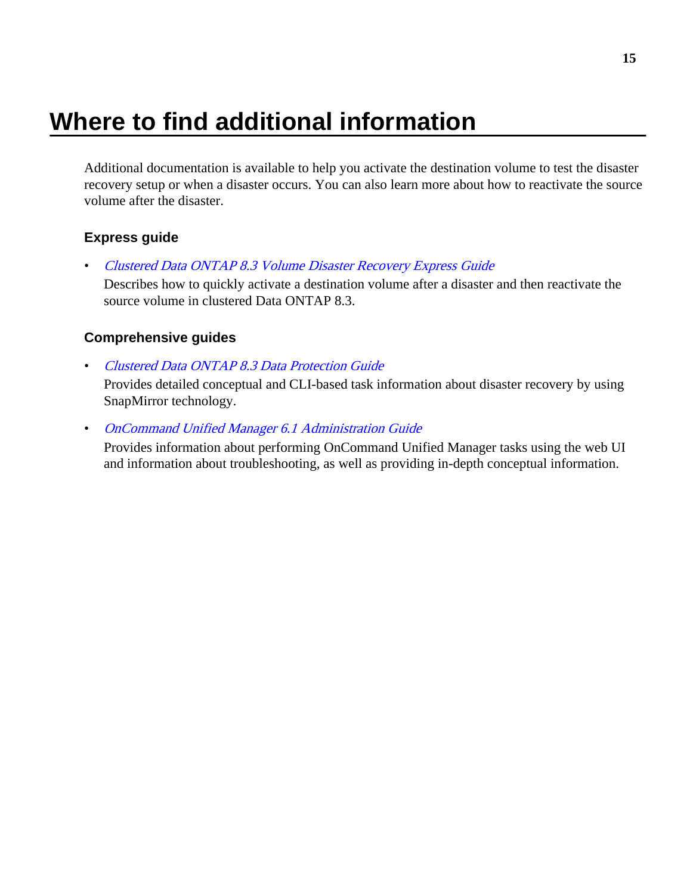# <span id="page-14-0"></span>**Where to find additional information**

Additional documentation is available to help you activate the destination volume to test the disaster recovery setup or when a disaster occurs. You can also learn more about how to reactivate the source volume after the disaster.

#### **Express guide**

• [Clustered Data ONTAP 8.3 Volume Disaster Recovery Express Guide](https://library.netapp.com/ecm/ecm_download_file/ECMP1653501)

Describes how to quickly activate a destination volume after a disaster and then reactivate the source volume in clustered Data ONTAP 8.3.

#### **Comprehensive guides**

• [Clustered Data ONTAP 8.3 Data Protection Guide](https://library.netapp.com/ecm/ecm_download_file/ECMP1610205)

Provides detailed conceptual and CLI-based task information about disaster recovery by using SnapMirror technology.

• [OnCommand Unified Manager 6.1 Administration Guide](https://library.netapp.com/ecm/ecm_download_file/ECMP1242991)

Provides information about performing OnCommand Unified Manager tasks using the web UI and information about troubleshooting, as well as providing in-depth conceptual information.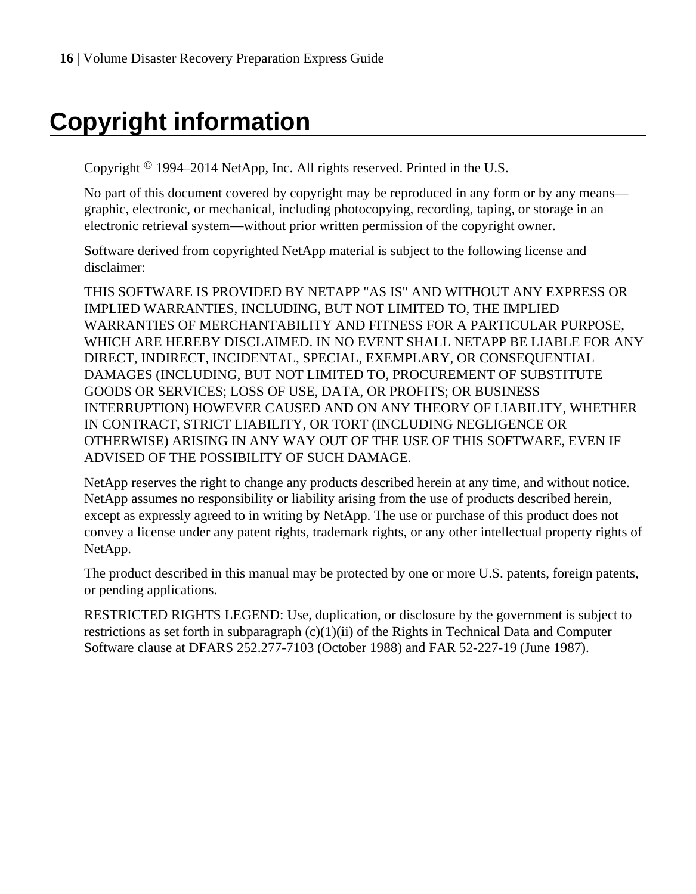# <span id="page-15-0"></span>**Copyright information**

Copyright © 1994–2014 NetApp, Inc. All rights reserved. Printed in the U.S.

No part of this document covered by copyright may be reproduced in any form or by any means graphic, electronic, or mechanical, including photocopying, recording, taping, or storage in an electronic retrieval system—without prior written permission of the copyright owner.

Software derived from copyrighted NetApp material is subject to the following license and disclaimer:

THIS SOFTWARE IS PROVIDED BY NETAPP "AS IS" AND WITHOUT ANY EXPRESS OR IMPLIED WARRANTIES, INCLUDING, BUT NOT LIMITED TO, THE IMPLIED WARRANTIES OF MERCHANTABILITY AND FITNESS FOR A PARTICULAR PURPOSE, WHICH ARE HEREBY DISCLAIMED. IN NO EVENT SHALL NETAPP BE LIABLE FOR ANY DIRECT, INDIRECT, INCIDENTAL, SPECIAL, EXEMPLARY, OR CONSEQUENTIAL DAMAGES (INCLUDING, BUT NOT LIMITED TO, PROCUREMENT OF SUBSTITUTE GOODS OR SERVICES; LOSS OF USE, DATA, OR PROFITS; OR BUSINESS INTERRUPTION) HOWEVER CAUSED AND ON ANY THEORY OF LIABILITY, WHETHER IN CONTRACT, STRICT LIABILITY, OR TORT (INCLUDING NEGLIGENCE OR OTHERWISE) ARISING IN ANY WAY OUT OF THE USE OF THIS SOFTWARE, EVEN IF ADVISED OF THE POSSIBILITY OF SUCH DAMAGE.

NetApp reserves the right to change any products described herein at any time, and without notice. NetApp assumes no responsibility or liability arising from the use of products described herein, except as expressly agreed to in writing by NetApp. The use or purchase of this product does not convey a license under any patent rights, trademark rights, or any other intellectual property rights of NetApp.

The product described in this manual may be protected by one or more U.S. patents, foreign patents, or pending applications.

RESTRICTED RIGHTS LEGEND: Use, duplication, or disclosure by the government is subject to restrictions as set forth in subparagraph  $(c)(1)(ii)$  of the Rights in Technical Data and Computer Software clause at DFARS 252.277-7103 (October 1988) and FAR 52-227-19 (June 1987).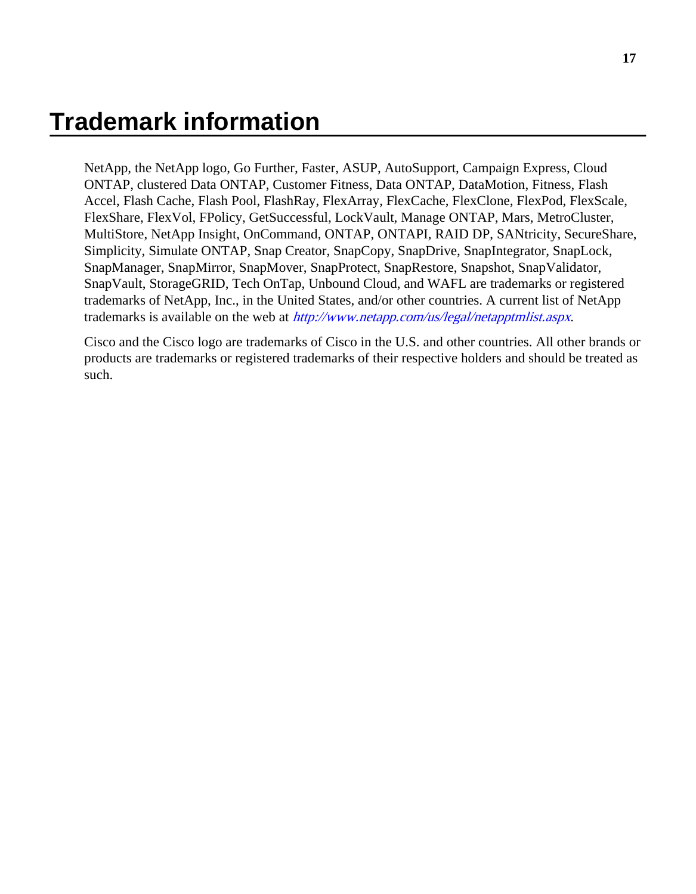## <span id="page-16-0"></span>**Trademark information**

NetApp, the NetApp logo, Go Further, Faster, ASUP, AutoSupport, Campaign Express, Cloud ONTAP, clustered Data ONTAP, Customer Fitness, Data ONTAP, DataMotion, Fitness, Flash Accel, Flash Cache, Flash Pool, FlashRay, FlexArray, FlexCache, FlexClone, FlexPod, FlexScale, FlexShare, FlexVol, FPolicy, GetSuccessful, LockVault, Manage ONTAP, Mars, MetroCluster, MultiStore, NetApp Insight, OnCommand, ONTAP, ONTAPI, RAID DP, SANtricity, SecureShare, Simplicity, Simulate ONTAP, Snap Creator, SnapCopy, SnapDrive, SnapIntegrator, SnapLock, SnapManager, SnapMirror, SnapMover, SnapProtect, SnapRestore, Snapshot, SnapValidator, SnapVault, StorageGRID, Tech OnTap, Unbound Cloud, and WAFL are trademarks or registered trademarks of NetApp, Inc., in the United States, and/or other countries. A current list of NetApp trademarks is available on the web at <http://www.netapp.com/us/legal/netapptmlist.aspx>.

Cisco and the Cisco logo are trademarks of Cisco in the U.S. and other countries. All other brands or products are trademarks or registered trademarks of their respective holders and should be treated as such.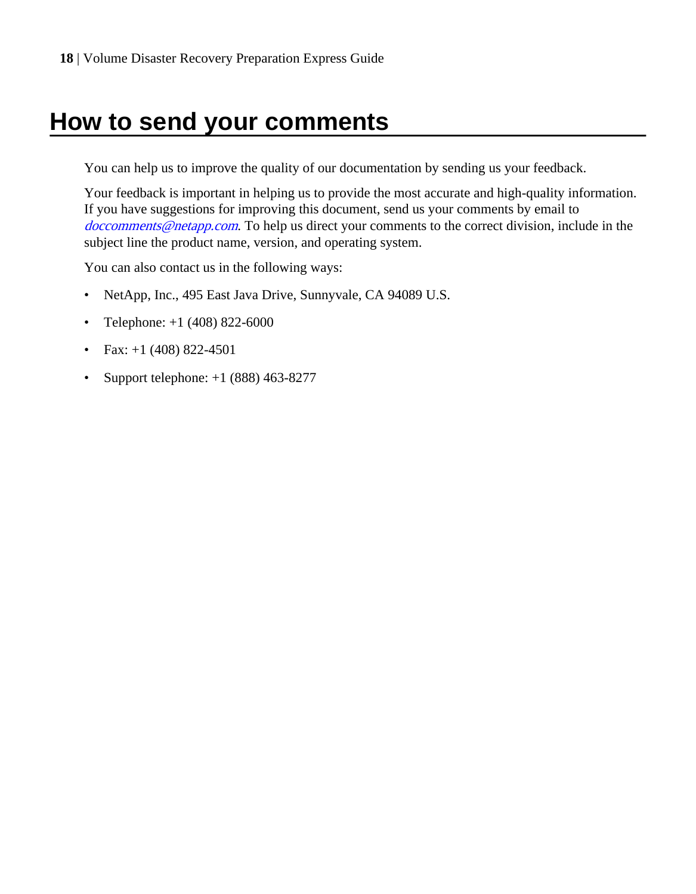# <span id="page-17-0"></span>**How to send your comments**

You can help us to improve the quality of our documentation by sending us your feedback.

Your feedback is important in helping us to provide the most accurate and high-quality information. If you have suggestions for improving this document, send us your comments by email to [doccomments@netapp.com](mailto:doccomments@netapp.com). To help us direct your comments to the correct division, include in the subject line the product name, version, and operating system.

You can also contact us in the following ways:

- NetApp, Inc., 495 East Java Drive, Sunnyvale, CA 94089 U.S.
- Telephone:  $+1$  (408) 822-6000
- Fax:  $+1$  (408) 822-4501
- Support telephone:  $+1$  (888) 463-8277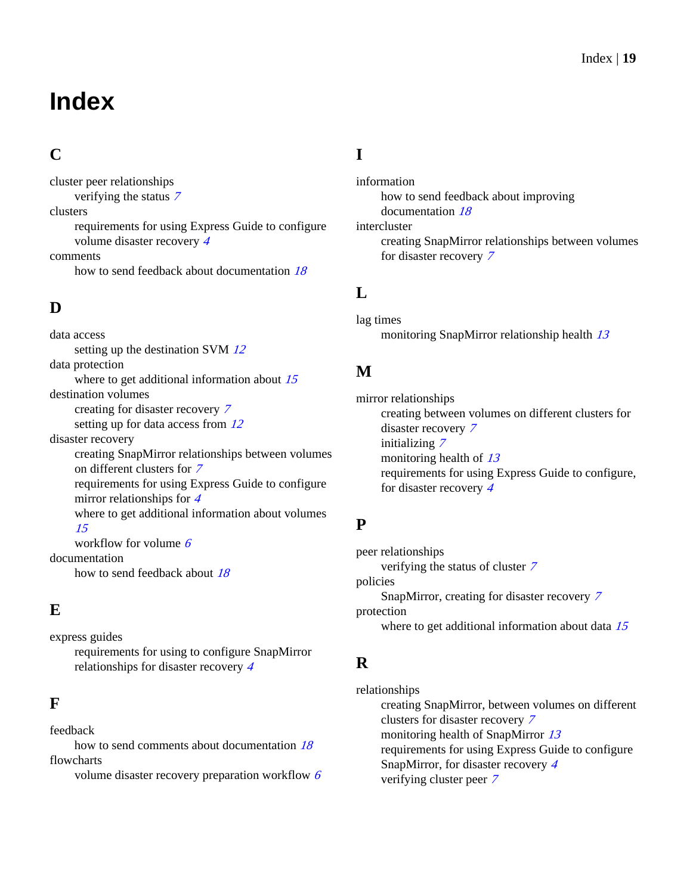# <span id="page-18-0"></span>**Index**

## **C**

cluster peer relationships verifying the status [7](#page-6-0) clusters requirements for using Express Guide to configure volume disaster recovery [4](#page-3-0) comments how to send feedback about documentation [18](#page-17-0)

## **D**

data access setting up the destination SVM [12](#page-11-0) data protection where to get additional information about [15](#page-14-0) destination volumes creating for disaster recovery [7](#page-6-0) setting up for data access from  $12$ disaster recovery creating SnapMirror relationships between volumes on different clusters for [7](#page-6-0) requirements for using Express Guide to configure mirror relationships for [4](#page-3-0) where to get additional information about volumes [15](#page-14-0) workflow for volume  $6$ documentation how to send feedback about [18](#page-17-0)

### **E**

express guides requirements for using to configure SnapMirror relationships for disaster recovery [4](#page-3-0)

### **F**

feedback

how to send comments about documentation  $18$ flowcharts

volume disaster recovery preparation workflow [6](#page-5-0)

## **I**

information how to send feedback about improving documentation [18](#page-17-0) intercluster creating SnapMirror relationships between volumes for disaster recovery [7](#page-6-0)

### **L**

lag times monitoring SnapMirror relationship health [13](#page-12-0)

### **M**

mirror relationships creating between volumes on different clusters for disaster recovery [7](#page-6-0) initializing [7](#page-6-0) monitoring health of  $13$ requirements for using Express Guide to configure, for disaster recovery [4](#page-3-0)

## **P**

peer relationships verifying the status of cluster [7](#page-6-0) policies SnapMirror, creating for disaster recovery [7](#page-6-0) protection where to get additional information about data [15](#page-14-0)

## **R**

relationships creating SnapMirror, between volumes on different clusters for disaster recovery [7](#page-6-0) monitoring health of SnapMirror [13](#page-12-0) requirements for using Express Guide to configure SnapMirror, for disaster recovery [4](#page-3-0) verifying cluster peer [7](#page-6-0)